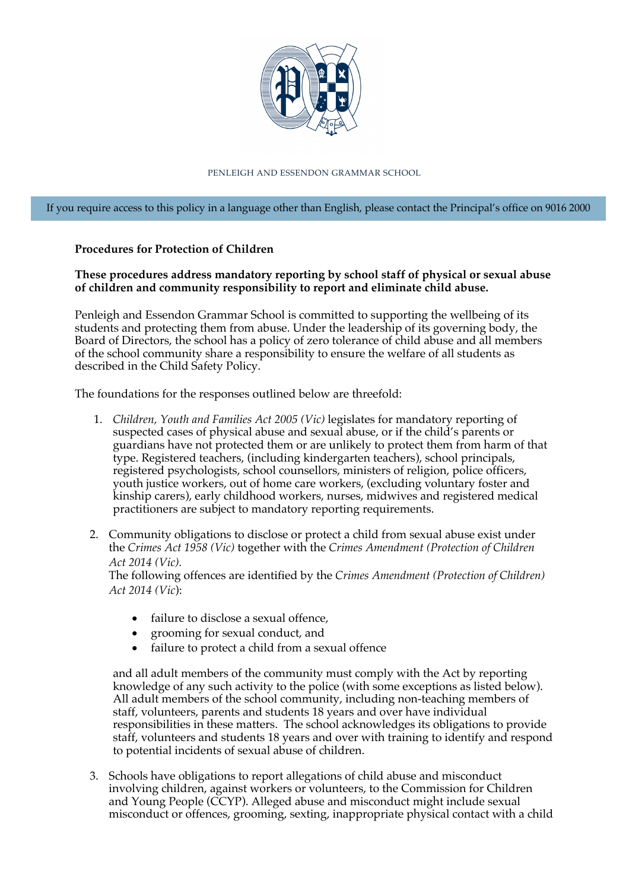

PENLEIGH AND ESSENDON GRAMMAR SCHOOL

#### If you require access to this policy in a language other than English, please contact the Principal's office on 9016 2000

#### **Procedures for Protection of Children**

**These procedures address mandatory reporting by school staff of physical or sexual abuse of children and community responsibility to report and eliminate child abuse.**

Penleigh and Essendon Grammar School is committed to supporting the wellbeing of its students and protecting them from abuse. Under the leadership of its governing body, the Board of Directors, the school has a policy of zero tolerance of child abuse and all members of the school community share a responsibility to ensure the welfare of all students as described in the Child Safety Policy.

The foundations for the responses outlined below are threefold:

- 1. *Children, Youth and Families Act 2005 (Vic)* legislates for mandatory reporting of suspected cases of physical abuse and sexual abuse, or if the child's parents or guardians have not protected them or are unlikely to protect them from harm of that type. Registered teachers, (including kindergarten teachers), school principals, registered psychologists, school counsellors, ministers of religion, police officers, youth justice workers, out of home care workers, (excluding voluntary foster and kinship carers), early childhood workers, nurses, midwives and registered medical practitioners are subject to mandatory reporting requirements.
- 2. Community obligations to disclose or protect a child from sexual abuse exist under the *Crimes Act 1958 (Vic)* together with the *Crimes Amendment (Protection of Children Act 2014 (Vic).*

The following offences are identified by the *Crimes Amendment (Protection of Children) Act 2014 (Vic*):

- failure to disclose a sexual offence,
- grooming for sexual conduct, and
- failure to protect a child from a sexual offence

and all adult members of the community must comply with the Act by reporting knowledge of any such activity to the police (with some exceptions as listed below). All adult members of the school community, including non-teaching members of staff, volunteers, parents and students 18 years and over have individual responsibilities in these matters. The school acknowledges its obligations to provide staff, volunteers and students 18 years and over with training to identify and respond to potential incidents of sexual abuse of children.

3. Schools have obligations to report allegations of child abuse and misconduct involving children, against workers or volunteers, to the Commission for Children and Young People (CCYP). Alleged abuse and misconduct might include sexual misconduct or offences, grooming, sexting, inappropriate physical contact with a child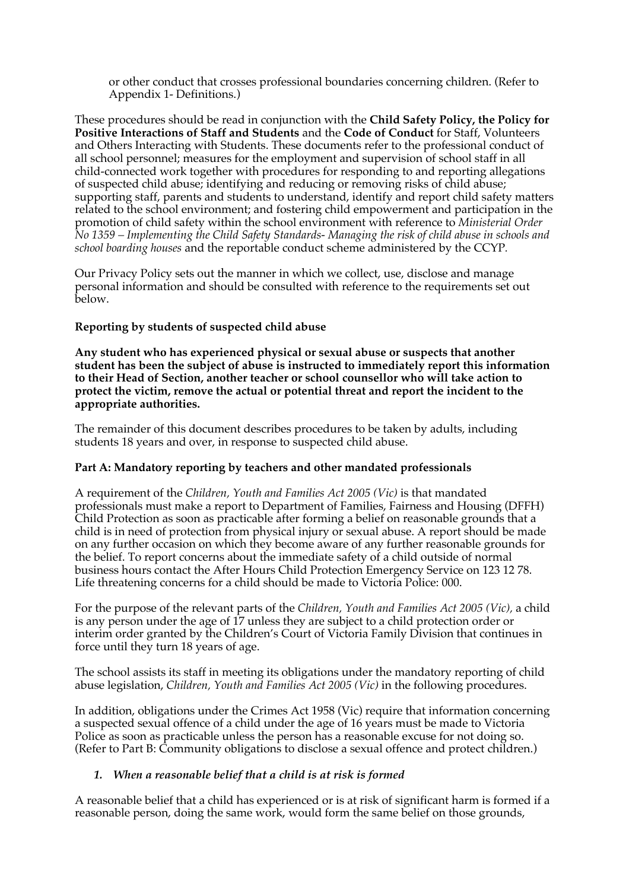or other conduct that crosses professional boundaries concerning children. (Refer to Appendix 1- Definitions.)

These procedures should be read in conjunction with the **Child Safety Policy, the Policy for Positive Interactions of Staff and Students** and the **Code of Conduct** for Staff, Volunteers and Others Interacting with Students. These documents refer to the professional conduct of all school personnel; measures for the employment and supervision of school staff in all child-connected work together with procedures for responding to and reporting allegations of suspected child abuse; identifying and reducing or removing risks of child abuse; supporting staff, parents and students to understand, identify and report child safety matters related to the school environment; and fostering child empowerment and participation in the promotion of child safety within the school environment with reference to *Ministerial Order No 1359 – Implementing the Child Safety Standards- Managing the risk of child abuse in schools and school boarding houses* and the reportable conduct scheme administered by the CCYP*.*

Our Privacy Policy sets out the manner in which we collect, use, disclose and manage personal information and should be consulted with reference to the requirements set out below.

#### **Reporting by students of suspected child abuse**

**Any student who has experienced physical or sexual abuse or suspects that another student has been the subject of abuse is instructed to immediately report this information to their Head of Section, another teacher or school counsellor who will take action to protect the victim, remove the actual or potential threat and report the incident to the appropriate authorities.** 

The remainder of this document describes procedures to be taken by adults, including students 18 years and over, in response to suspected child abuse.

## **Part A: Mandatory reporting by teachers and other mandated professionals**

A requirement of the *Children, Youth and Families Act 2005 (Vic)* is that mandated professionals must make a report to Department of Families, Fairness and Housing (DFFH) Child Protection as soon as practicable after forming a belief on reasonable grounds that a child is in need of protection from physical injury or sexual abuse. A report should be made on any further occasion on which they become aware of any further reasonable grounds for the belief. To report concerns about the immediate safety of a child outside of normal business hours contact the After Hours Child Protection Emergency Service on 123 12 78. Life threatening concerns for a child should be made to Victoria Police: 000.

For the purpose of the relevant parts of the *Children, Youth and Families Act 2005 (Vic),* a child is any person under the age of 17 unless they are subject to a child protection order or interim order granted by the Children's Court of Victoria Family Division that continues in force until they turn 18 years of age.

The school assists its staff in meeting its obligations under the mandatory reporting of child abuse legislation, *Children, Youth and Families Act 2005 (Vic)* in the following procedures.

In addition, obligations under the Crimes Act 1958 (Vic) require that information concerning a suspected sexual offence of a child under the age of 16 years must be made to Victoria Police as soon as practicable unless the person has a reasonable excuse for not doing so. (Refer to Part B: Community obligations to disclose a sexual offence and protect children.)

#### *1. When a reasonable belief that a child is at risk is formed*

A reasonable belief that a child has experienced or is at risk of significant harm is formed if a reasonable person, doing the same work, would form the same belief on those grounds,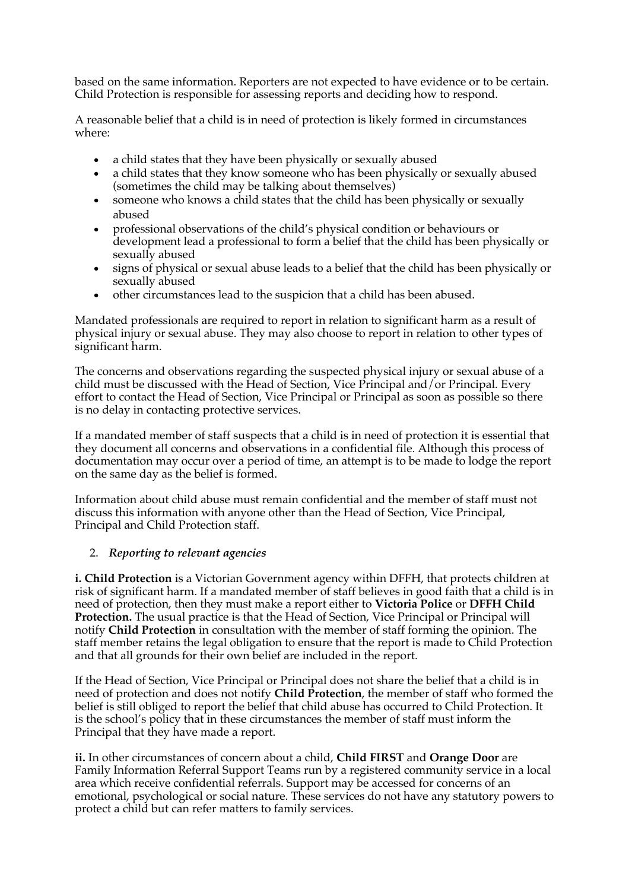based on the same information. Reporters are not expected to have evidence or to be certain. Child Protection is responsible for assessing reports and deciding how to respond.

A reasonable belief that a child is in need of protection is likely formed in circumstances where:

- a child states that they have been physically or sexually abused
- a child states that they know someone who has been physically or sexually abused (sometimes the child may be talking about themselves)
- someone who knows a child states that the child has been physically or sexually abused
- professional observations of the child's physical condition or behaviours or development lead a professional to form a belief that the child has been physically or sexually abused
- signs of physical or sexual abuse leads to a belief that the child has been physically or sexually abused
- other circumstances lead to the suspicion that a child has been abused.

Mandated professionals are required to report in relation to significant harm as a result of physical injury or sexual abuse. They may also choose to report in relation to other types of significant harm.

The concerns and observations regarding the suspected physical injury or sexual abuse of a child must be discussed with the Head of Section, Vice Principal and/or Principal. Every effort to contact the Head of Section, Vice Principal or Principal as soon as possible so there is no delay in contacting protective services.

If a mandated member of staff suspects that a child is in need of protection it is essential that they document all concerns and observations in a confidential file. Although this process of documentation may occur over a period of time, an attempt is to be made to lodge the report on the same day as the belief is formed.

Information about child abuse must remain confidential and the member of staff must not discuss this information with anyone other than the Head of Section, Vice Principal, Principal and Child Protection staff.

## 2. *Reporting to relevant agencies*

**i. Child Protection** is a Victorian Government agency within DFFH, that protects children at risk of significant harm. If a mandated member of staff believes in good faith that a child is in need of protection, then they must make a report either to **Victoria Police** or **DFFH Child Protection.** The usual practice is that the Head of Section, Vice Principal or Principal will notify **Child Protection** in consultation with the member of staff forming the opinion. The staff member retains the legal obligation to ensure that the report is made to Child Protection and that all grounds for their own belief are included in the report.

If the Head of Section, Vice Principal or Principal does not share the belief that a child is in need of protection and does not notify **Child Protection**, the member of staff who formed the belief is still obliged to report the belief that child abuse has occurred to Child Protection. It is the school's policy that in these circumstances the member of staff must inform the Principal that they have made a report.

**ii.** In other circumstances of concern about a child, **Child FIRST** and **Orange Door** are Family Information Referral Support Teams run by a registered community service in a local area which receive confidential referrals. Support may be accessed for concerns of an emotional, psychological or social nature. These services do not have any statutory powers to protect a child but can refer matters to family services.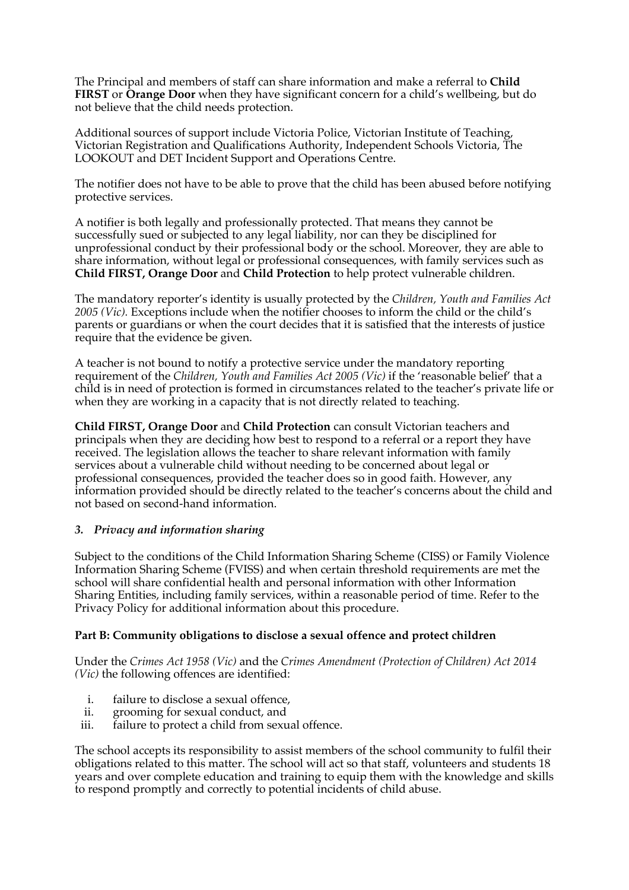The Principal and members of staff can share information and make a referral to **Child FIRST** or **Orange Door** when they have significant concern for a child's wellbeing, but do not believe that the child needs protection.

Additional sources of support include Victoria Police, Victorian Institute of Teaching, Victorian Registration and Qualifications Authority, Independent Schools Victoria, The LOOKOUT and DET Incident Support and Operations Centre.

The notifier does not have to be able to prove that the child has been abused before notifying protective services.

A notifier is both legally and professionally protected. That means they cannot be successfully sued or subjected to any legal liability, nor can they be disciplined for unprofessional conduct by their professional body or the school. Moreover, they are able to share information, without legal or professional consequences, with family services such as **Child FIRST, Orange Door** and **Child Protection** to help protect vulnerable children.

The mandatory reporter's identity is usually protected by the *Children, Youth and Families Act 2005 (Vic).* Exceptions include when the notifier chooses to inform the child or the child's parents or guardians or when the court decides that it is satisfied that the interests of justice require that the evidence be given.

A teacher is not bound to notify a protective service under the mandatory reporting requirement of the *Children, Youth and Families Act 2005 (Vic)* if the 'reasonable belief' that a child is in need of protection is formed in circumstances related to the teacher's private life or when they are working in a capacity that is not directly related to teaching.

**Child FIRST, Orange Door** and **Child Protection** can consult Victorian teachers and principals when they are deciding how best to respond to a referral or a report they have received. The legislation allows the teacher to share relevant information with family services about a vulnerable child without needing to be concerned about legal or professional consequences, provided the teacher does so in good faith. However, any information provided should be directly related to the teacher's concerns about the child and not based on second-hand information.

## *3. Privacy and information sharing*

Subject to the conditions of the Child Information Sharing Scheme (CISS) or Family Violence Information Sharing Scheme (FVISS) and when certain threshold requirements are met the school will share confidential health and personal information with other Information Sharing Entities, including family services, within a reasonable period of time. Refer to the Privacy Policy for additional information about this procedure.

## **Part B: Community obligations to disclose a sexual offence and protect children**

Under the *Crimes Act 1958 (Vic)* and the *Crimes Amendment (Protection of Children) Act 2014 (Vic)* the following offences are identified:

- i. failure to disclose a sexual offence,
- ii. grooming for sexual conduct, and
- iii. failure to protect a child from sexual offence.

The school accepts its responsibility to assist members of the school community to fulfil their obligations related to this matter. The school will act so that staff, volunteers and students 18 years and over complete education and training to equip them with the knowledge and skills to respond promptly and correctly to potential incidents of child abuse.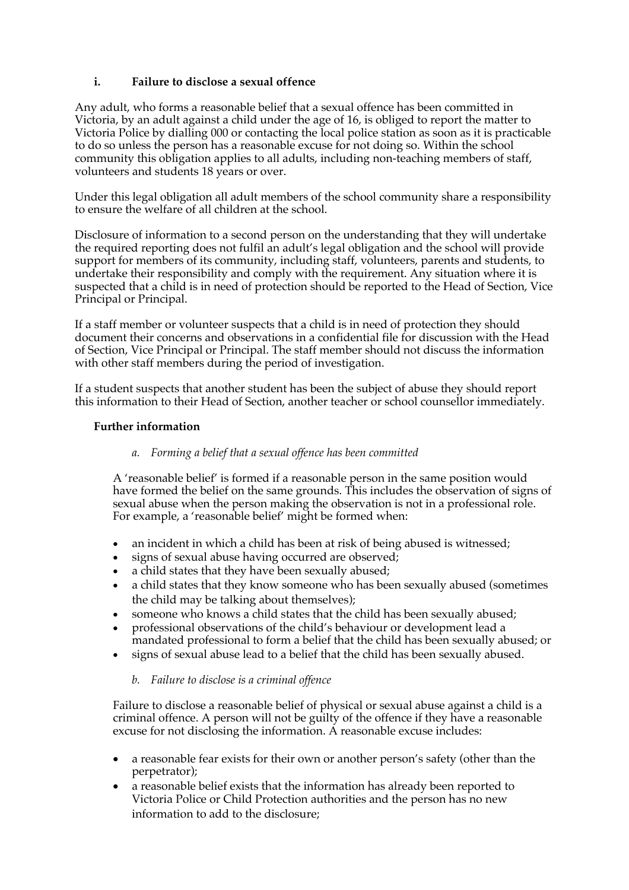# **i. Failure to disclose a sexual offence**

Any adult, who forms a reasonable belief that a sexual offence has been committed in Victoria, by an adult against a child under the age of 16, is obliged to report the matter to Victoria Police by dialling 000 or contacting the local police station as soon as it is practicable to do so unless the person has a reasonable excuse for not doing so. Within the school community this obligation applies to all adults, including non-teaching members of staff, volunteers and students 18 years or over.

Under this legal obligation all adult members of the school community share a responsibility to ensure the welfare of all children at the school.

Disclosure of information to a second person on the understanding that they will undertake the required reporting does not fulfil an adult's legal obligation and the school will provide support for members of its community, including staff, volunteers, parents and students, to undertake their responsibility and comply with the requirement. Any situation where it is suspected that a child is in need of protection should be reported to the Head of Section, Vice Principal or Principal.

If a staff member or volunteer suspects that a child is in need of protection they should document their concerns and observations in a confidential file for discussion with the Head of Section, Vice Principal or Principal. The staff member should not discuss the information with other staff members during the period of investigation.

If a student suspects that another student has been the subject of abuse they should report this information to their Head of Section, another teacher or school counsellor immediately.

#### **Further information**

## *a. Forming a belief that a sexual offence has been committed*

A 'reasonable belief' is formed if a reasonable person in the same position would have formed the belief on the same grounds. This includes the observation of signs of sexual abuse when the person making the observation is not in a professional role. For example, a 'reasonable belief' might be formed when:

- an incident in which a child has been at risk of being abused is witnessed;
- signs of sexual abuse having occurred are observed;
- a child states that they have been sexually abused;
- a child states that they know someone who has been sexually abused (sometimes the child may be talking about themselves);
- someone who knows a child states that the child has been sexually abused;
- professional observations of the child's behaviour or development lead a mandated professional to form a belief that the child has been sexually abused; or
- signs of sexual abuse lead to a belief that the child has been sexually abused.

#### *b. Failure to disclose is a criminal offence*

Failure to disclose a reasonable belief of physical or sexual abuse against a child is a criminal offence. A person will not be guilty of the offence if they have a reasonable excuse for not disclosing the information. A reasonable excuse includes:

- a reasonable fear exists for their own or another person's safety (other than the perpetrator);
- a reasonable belief exists that the information has already been reported to Victoria Police or Child Protection authorities and the person has no new information to add to the disclosure;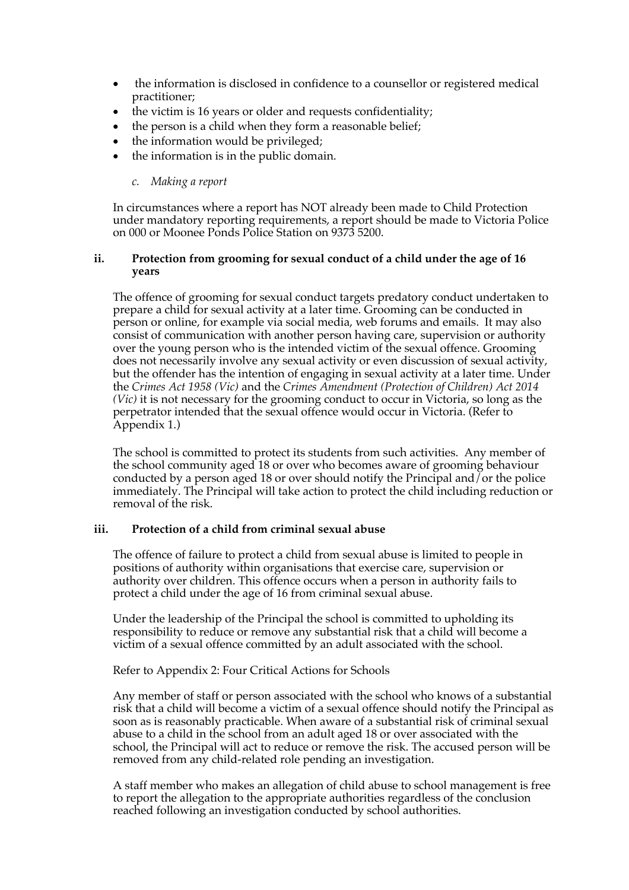- the information is disclosed in confidence to a counsellor or registered medical practitioner;
- the victim is 16 years or older and requests confidentiality;
- the person is a child when they form a reasonable belief;
- the information would be privileged;
- the information is in the public domain.

#### *c. Making a report*

In circumstances where a report has NOT already been made to Child Protection under mandatory reporting requirements, a report should be made to Victoria Police on 000 or Moonee Ponds Police Station on 9373 5200.

#### **ii. Protection from grooming for sexual conduct of a child under the age of 16 years**

The offence of grooming for sexual conduct targets predatory conduct undertaken to prepare a child for sexual activity at a later time. Grooming can be conducted in person or online, for example via social media, web forums and emails. It may also consist of communication with another person having care, supervision or authority over the young person who is the intended victim of the sexual offence. Grooming does not necessarily involve any sexual activity or even discussion of sexual activity, but the offender has the intention of engaging in sexual activity at a later time. Under the *Crimes Act 1958 (Vic)* and the *Crimes Amendment (Protection of Children) Act 2014 (Vic)* it is not necessary for the grooming conduct to occur in Victoria, so long as the perpetrator intended that the sexual offence would occur in Victoria. (Refer to Appendix 1.)

The school is committed to protect its students from such activities. Any member of the school community aged 18 or over who becomes aware of grooming behaviour conducted by a person aged 18 or over should notify the Principal and  $\bar{j}$  or the police immediately. The Principal will take action to protect the child including reduction or removal of the risk.

#### **iii. Protection of a child from criminal sexual abuse**

The offence of failure to protect a child from sexual abuse is limited to people in positions of authority within organisations that exercise care, supervision or authority over children. This offence occurs when a person in authority fails to protect a child under the age of 16 from criminal sexual abuse.

Under the leadership of the Principal the school is committed to upholding its responsibility to reduce or remove any substantial risk that a child will become a victim of a sexual offence committed by an adult associated with the school.

## Refer to Appendix 2: Four Critical Actions for Schools

Any member of staff or person associated with the school who knows of a substantial risk that a child will become a victim of a sexual offence should notify the Principal as soon as is reasonably practicable. When aware of a substantial risk of criminal sexual abuse to a child in the school from an adult aged 18 or over associated with the school, the Principal will act to reduce or remove the risk. The accused person will be removed from any child-related role pending an investigation.

A staff member who makes an allegation of child abuse to school management is free to report the allegation to the appropriate authorities regardless of the conclusion reached following an investigation conducted by school authorities.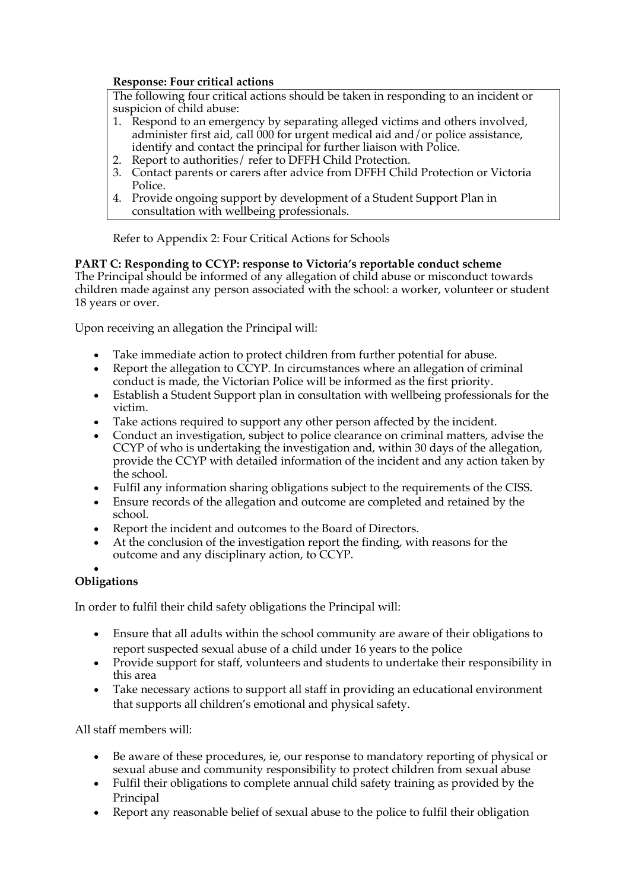# **Response: Four critical actions**

The following four critical actions should be taken in responding to an incident or suspicion of child abuse:

- 1. Respond to an emergency by separating alleged victims and others involved, administer first aid, call 000 for urgent medical aid and/or police assistance, identify and contact the principal for further liaison with Police.
- 2. Report to authorities/ refer to DFFH Child Protection.
- 3. Contact parents or carers after advice from DFFH Child Protection or Victoria Police.
- 4. Provide ongoing support by development of a Student Support Plan in consultation with wellbeing professionals.

Refer to Appendix 2: Four Critical Actions for Schools

**PART C: Responding to CCYP: response to Victoria's reportable conduct scheme**  The Principal should be informed of any allegation of child abuse or misconduct towards children made against any person associated with the school: a worker, volunteer or student 18 years or over.

Upon receiving an allegation the Principal will:

- Take immediate action to protect children from further potential for abuse.
- Report the allegation to CCYP. In circumstances where an allegation of criminal conduct is made, the Victorian Police will be informed as the first priority.
- Establish a Student Support plan in consultation with wellbeing professionals for the victim.
- Take actions required to support any other person affected by the incident.
- Conduct an investigation, subject to police clearance on criminal matters, advise the CCYP of who is undertaking the investigation and, within 30 days of the allegation, provide the CCYP with detailed information of the incident and any action taken by the school.
- Fulfil any information sharing obligations subject to the requirements of the CISS.
- Ensure records of the allegation and outcome are completed and retained by the school.
- Report the incident and outcomes to the Board of Directors.
- At the conclusion of the investigation report the finding, with reasons for the outcome and any disciplinary action, to CCYP.

## •

# **Obligations**

In order to fulfil their child safety obligations the Principal will:

- Ensure that all adults within the school community are aware of their obligations to report suspected sexual abuse of a child under 16 years to the police
- Provide support for staff, volunteers and students to undertake their responsibility in this area
- Take necessary actions to support all staff in providing an educational environment that supports all children's emotional and physical safety.

All staff members will:

- Be aware of these procedures, ie, our response to mandatory reporting of physical or sexual abuse and community responsibility to protect children from sexual abuse
- Fulfil their obligations to complete annual child safety training as provided by the Principal
- Report any reasonable belief of sexual abuse to the police to fulfil their obligation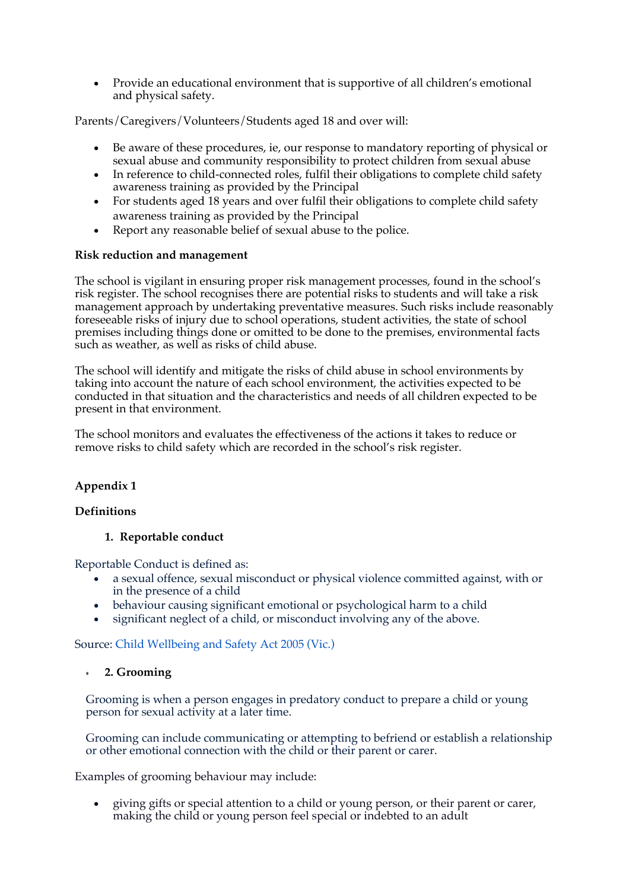• Provide an educational environment that is supportive of all children's emotional and physical safety.

Parents/Caregivers/Volunteers/Students aged 18 and over will:

- Be aware of these procedures, ie, our response to mandatory reporting of physical or sexual abuse and community responsibility to protect children from sexual abuse
- In reference to child-connected roles, fulfil their obligations to complete child safety awareness training as provided by the Principal
- For students aged 18 years and over fulfil their obligations to complete child safety awareness training as provided by the Principal
- Report any reasonable belief of sexual abuse to the police.

# **Risk reduction and management**

The school is vigilant in ensuring proper risk management processes, found in the school's risk register. The school recognises there are potential risks to students and will take a risk management approach by undertaking preventative measures. Such risks include reasonably foreseeable risks of injury due to school operations, student activities, the state of school premises including things done or omitted to be done to the premises, environmental facts such as weather, as well as risks of child abuse.

The school will identify and mitigate the risks of child abuse in school environments by taking into account the nature of each school environment, the activities expected to be conducted in that situation and the characteristics and needs of all children expected to be present in that environment.

The school monitors and evaluates the effectiveness of the actions it takes to reduce or remove risks to child safety which are recorded in the school's risk register.

# **Appendix 1**

# **Definitions**

## **1. Reportable conduct**

Reportable Conduct is defined as:

- a sexual offence, sexual misconduct or physical violence committed against, with or in the presence of a child
- behaviour causing significant emotional or psychological harm to a child
- significant neglect of a child, or misconduct involving any of the above.

Source: Child Wellbeing and Safety Act 2005 (Vic.)

## • **2. Grooming**

Grooming is when a person engages in predatory conduct to prepare a child or young person for sexual activity at a later time.

Grooming can include communicating or attempting to befriend or establish a relationship or other emotional connection with the child or their parent or carer.

Examples of grooming behaviour may include:

• giving gifts or special attention to a child or young person, or their parent or carer, making the child or young person feel special or indebted to an adult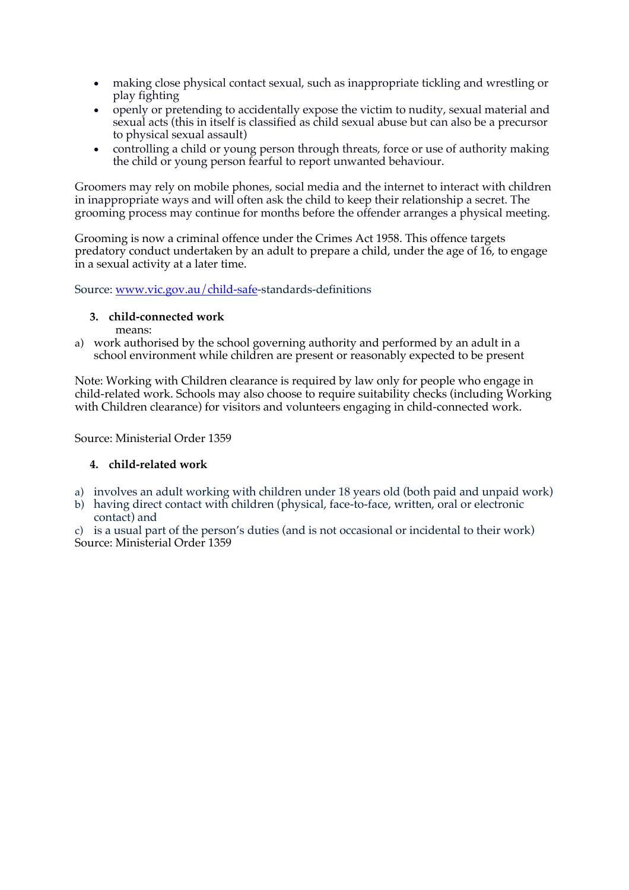- making close physical contact sexual, such as inappropriate tickling and wrestling or play fighting
- openly or pretending to accidentally expose the victim to nudity, sexual material and sexual acts (this in itself is classified as child sexual abuse but can also be a precursor to physical sexual assault)
- controlling a child or young person through threats, force or use of authority making the child or young person fearful to report unwanted behaviour.

Groomers may rely on mobile phones, social media and the internet to interact with children in inappropriate ways and will often ask the child to keep their relationship a secret. The grooming process may continue for months before the offender arranges a physical meeting.

Grooming is now a criminal offence under the Crimes Act 1958. This offence targets predatory conduct undertaken by an adult to prepare a child, under the age of 16, to engage in a sexual activity at a later time.

#### Source: www.vic.gov.au/child-safe-standards-definitions

# **3. child-connected work**

means:

a) work authorised by the school governing authority and performed by an adult in a school environment while children are present or reasonably expected to be present

Note: Working with Children clearance is required by law only for people who engage in child-related work. Schools may also choose to require suitability checks (including Working with Children clearance) for visitors and volunteers engaging in child-connected work.

Source: Ministerial Order 1359

## **4. child-related work**

- a) involves an adult working with children under 18 years old (both paid and unpaid work)
- b) having direct contact with children (physical, face-to-face, written, oral or electronic contact) and

c) is a usual part of the person's duties (and is not occasional or incidental to their work) Source: Ministerial Order 1359